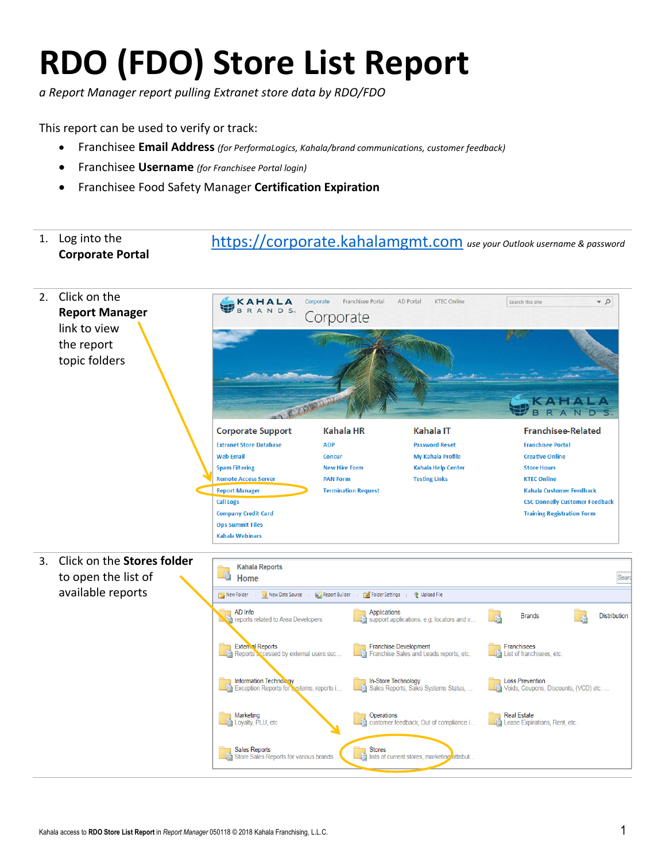## **RDO (FDO) Store List Report**

*a Report Manager report pulling Extranet store data by RDO/FDO*

This report can be used to verify or track:

- Franchisee **Email Address** *(for PerformaLogics, Kahala/brand communications, customer feedback)*
- Franchisee **Username** *(for Franchisee Portal login)*
- Franchisee Food Safety Manager **Certification Expiration**

## 1. Log into the **Corporate Portal** https://corporate.kahalamgmt.com *use your Outlook username & password*